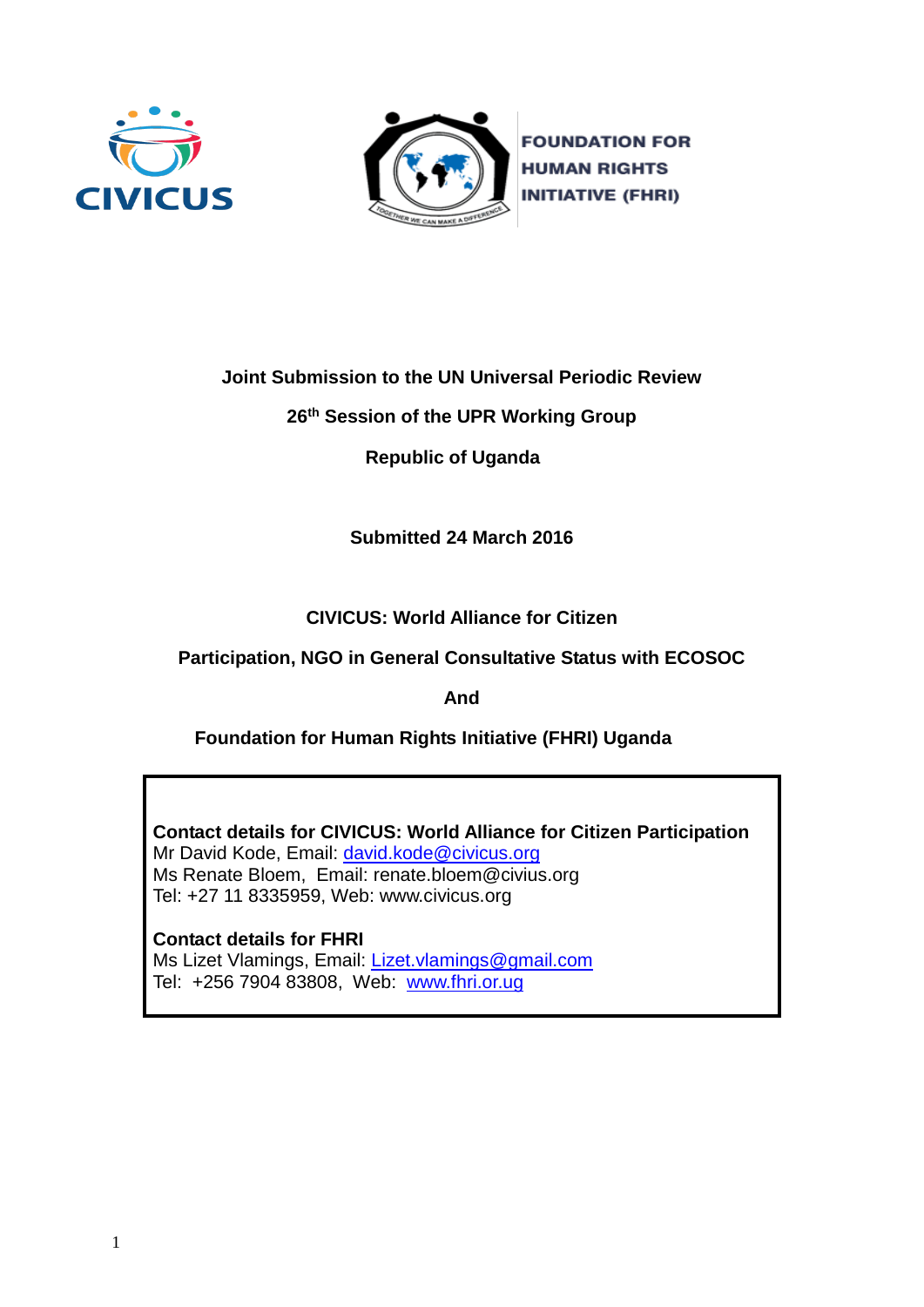



**FOUNDATION FOR HUMAN RIGHTS INITIATIVE (FHRI)** 

**Joint Submission to the UN Universal Periodic Review**

**26 th Session of the UPR Working Group**

 **Republic of Uganda** 

**Submitted 24 March 2016**

**CIVICUS: World Alliance for Citizen**

**Participation, NGO in General Consultative Status with ECOSOC**

**And**

 **Foundation for Human Rights Initiative (FHRI) Uganda** 

**Contact details for CIVICUS: World Alliance for Citizen Participation** Mr David Kode, Email: [david.kode@civicus.org](mailto:david.kode@civicus.org) Ms Renate Bloem, Email: renate.bloem@civius.org Tel: +27 11 8335959, Web: [www.civicus.org](http://www.civicus.org/)

**Contact details for FHRI** Ms Lizet Vlamings, Email: [Lizet.vlamings@gmail.com](mailto:Lizet.vlamings@gmail.com) Tel: +256 7904 83808, Web: [www.fhri.or.ug](http://www.fhri.or.ug/)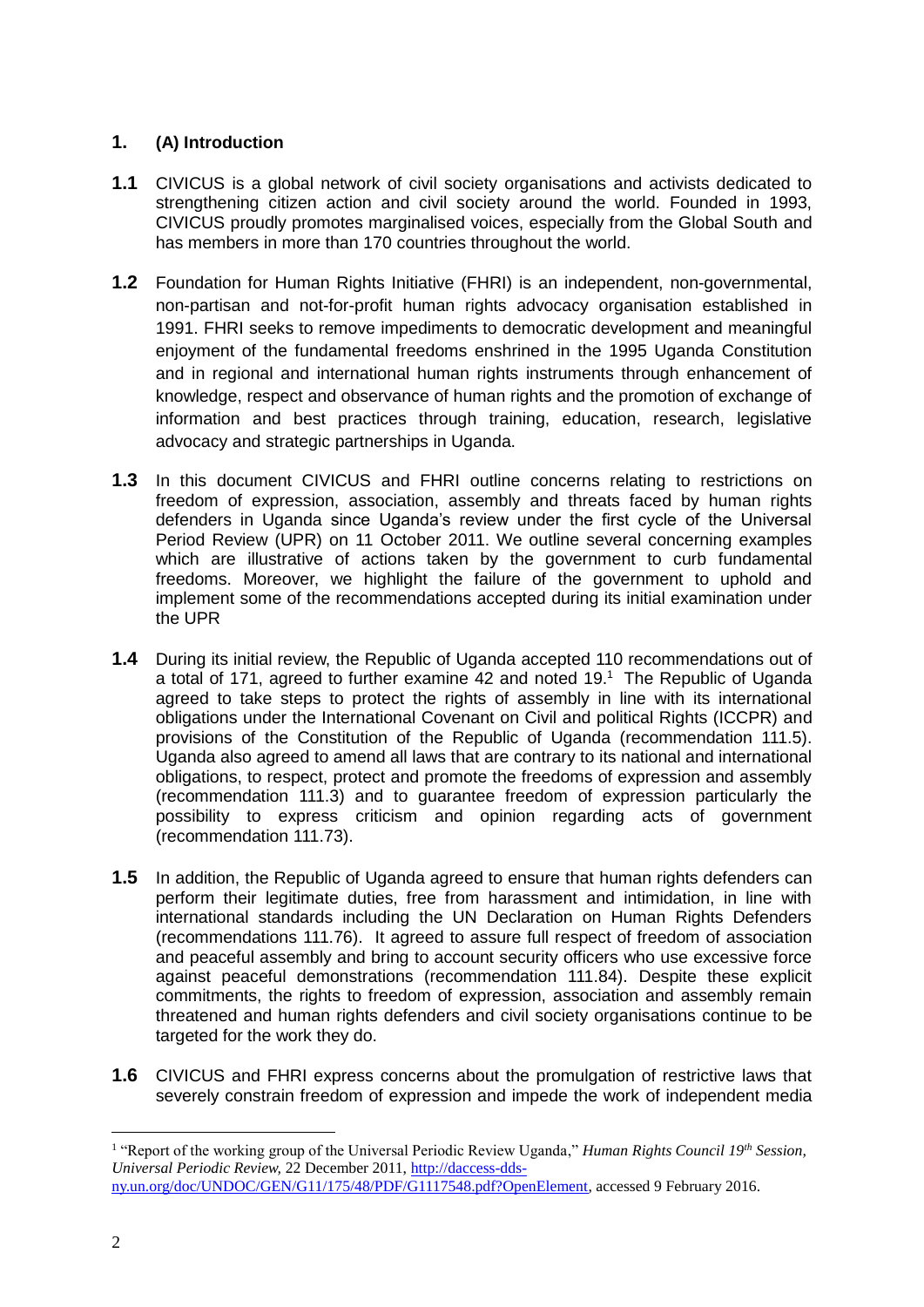# **1. (A) Introduction**

- **1.1** CIVICUS is a global network of civil society organisations and activists dedicated to strengthening citizen action and civil society around the world. Founded in 1993, CIVICUS proudly promotes marginalised voices, especially from the Global South and has members in more than 170 countries throughout the world.
- **1.2** Foundation for Human Rights Initiative (FHRI) is an independent, non-governmental, non-partisan and not-for-profit human rights advocacy organisation established in 1991. FHRI seeks to remove impediments to democratic development and meaningful enjoyment of the fundamental freedoms enshrined in the 1995 Uganda Constitution and in regional and international human rights instruments through enhancement of knowledge, respect and observance of human rights and the promotion of exchange of information and best practices through training, education, research, legislative advocacy and strategic partnerships in Uganda.
- **1.3** In this document CIVICUS and FHRI outline concerns relating to restrictions on freedom of expression, association, assembly and threats faced by human rights defenders in Uganda since Uganda's review under the first cycle of the Universal Period Review (UPR) on 11 October 2011. We outline several concerning examples which are illustrative of actions taken by the government to curb fundamental freedoms. Moreover, we highlight the failure of the government to uphold and implement some of the recommendations accepted during its initial examination under the UPR
- **1.4** During its initial review, the Republic of Uganda accepted 110 recommendations out of a total of 171, agreed to further examine 42 and noted 19.<sup>1</sup> The Republic of Uganda agreed to take steps to protect the rights of assembly in line with its international obligations under the International Covenant on Civil and political Rights (ICCPR) and provisions of the Constitution of the Republic of Uganda (recommendation 111.5). Uganda also agreed to amend all laws that are contrary to its national and international obligations, to respect, protect and promote the freedoms of expression and assembly (recommendation 111.3) and to guarantee freedom of expression particularly the possibility to express criticism and opinion regarding acts of government (recommendation 111.73).
- **1.5** In addition, the Republic of Uganda agreed to ensure that human rights defenders can perform their legitimate duties, free from harassment and intimidation, in line with international standards including the UN Declaration on Human Rights Defenders (recommendations 111.76). It agreed to assure full respect of freedom of association and peaceful assembly and bring to account security officers who use excessive force against peaceful demonstrations (recommendation 111.84). Despite these explicit commitments, the rights to freedom of expression, association and assembly remain threatened and human rights defenders and civil society organisations continue to be targeted for the work they do.
- **1.6** CIVICUS and FHRI express concerns about the promulgation of restrictive laws that severely constrain freedom of expression and impede the work of independent media

<sup>&</sup>lt;sup>1</sup> "Report of the working group of the Universal Periodic Review Uganda," *Human Rights Council 19<sup>th</sup> Session*, *Universal Periodic Review,* 22 December 2011[, http://daccess-dds](http://daccess-dds-ny.un.org/doc/UNDOC/GEN/G11/175/48/PDF/G1117548.pdf?OpenElement)[ny.un.org/doc/UNDOC/GEN/G11/175/48/PDF/G1117548.pdf?OpenElement,](http://daccess-dds-ny.un.org/doc/UNDOC/GEN/G11/175/48/PDF/G1117548.pdf?OpenElement) accessed 9 February 2016.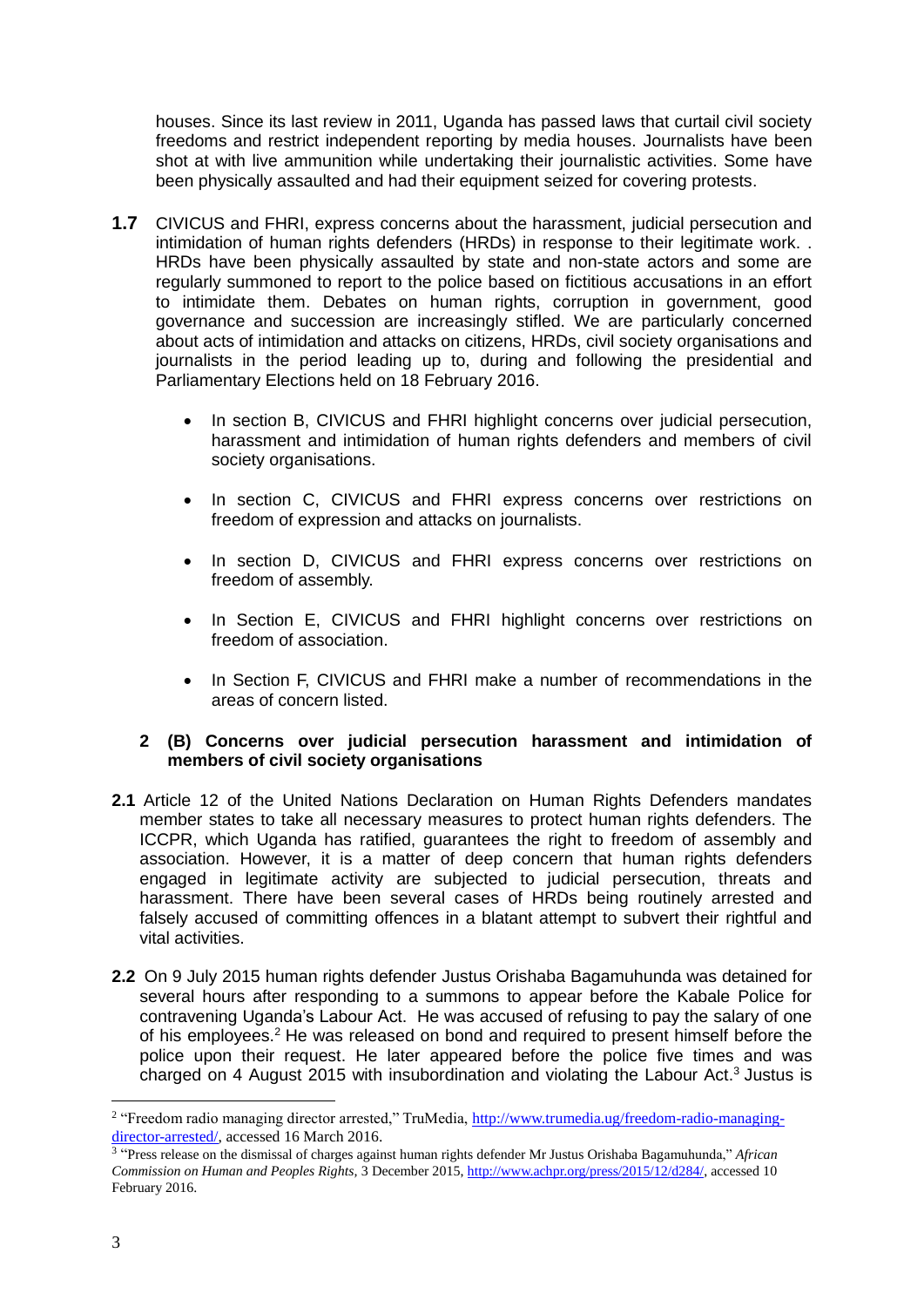houses. Since its last review in 2011, Uganda has passed laws that curtail civil society freedoms and restrict independent reporting by media houses. Journalists have been shot at with live ammunition while undertaking their journalistic activities. Some have been physically assaulted and had their equipment seized for covering protests.

- **1.7** CIVICUS and FHRI, express concerns about the harassment, judicial persecution and intimidation of human rights defenders (HRDs) in response to their legitimate work. . HRDs have been physically assaulted by state and non-state actors and some are regularly summoned to report to the police based on fictitious accusations in an effort to intimidate them. Debates on human rights, corruption in government, good governance and succession are increasingly stifled. We are particularly concerned about acts of intimidation and attacks on citizens, HRDs, civil society organisations and journalists in the period leading up to, during and following the presidential and Parliamentary Elections held on 18 February 2016.
	- In section B, CIVICUS and FHRI highlight concerns over judicial persecution, harassment and intimidation of human rights defenders and members of civil society organisations.
	- In section C, CIVICUS and FHRI express concerns over restrictions on freedom of expression and attacks on journalists.
	- In section D, CIVICUS and FHRI express concerns over restrictions on freedom of assembly.
	- In Section E, CIVICUS and FHRI highlight concerns over restrictions on freedom of association.
	- In Section F, CIVICUS and FHRI make a number of recommendations in the areas of concern listed.

# **2 (B) Concerns over judicial persecution harassment and intimidation of members of civil society organisations**

- **2.1** Article 12 of the United Nations Declaration on Human Rights Defenders mandates member states to take all necessary measures to protect human rights defenders. The ICCPR, which Uganda has ratified, guarantees the right to freedom of assembly and association. However, it is a matter of deep concern that human rights defenders engaged in legitimate activity are subjected to judicial persecution, threats and harassment. There have been several cases of HRDs being routinely arrested and falsely accused of committing offences in a blatant attempt to subvert their rightful and vital activities.
- **2.2** On 9 July 2015 human rights defender Justus Orishaba Bagamuhunda was detained for several hours after responding to a summons to appear before the Kabale Police for contravening Uganda's Labour Act. He was accused of refusing to pay the salary of one of his employees.<sup>2</sup> He was released on bond and required to present himself before the police upon their request. He later appeared before the police five times and was charged on 4 August 2015 with insubordination and violating the Labour Act.<sup>3</sup> Justus is

<sup>&</sup>lt;sup>2</sup> "Freedom radio managing director arrested," TruMedia, [http://www.trumedia.ug/freedom-radio-managing](http://www.trumedia.ug/freedom-radio-managing-director-arrested/)[director-arrested/,](http://www.trumedia.ug/freedom-radio-managing-director-arrested/) accessed 16 March 2016.

<sup>3</sup> "Press release on the dismissal of charges against human rights defender Mr Justus Orishaba Bagamuhunda," *African Commission on Human and Peoples Rights,* 3 December 2015[, http://www.achpr.org/press/2015/12/d284/,](http://www.achpr.org/press/2015/12/d284/) accessed 10 February 2016.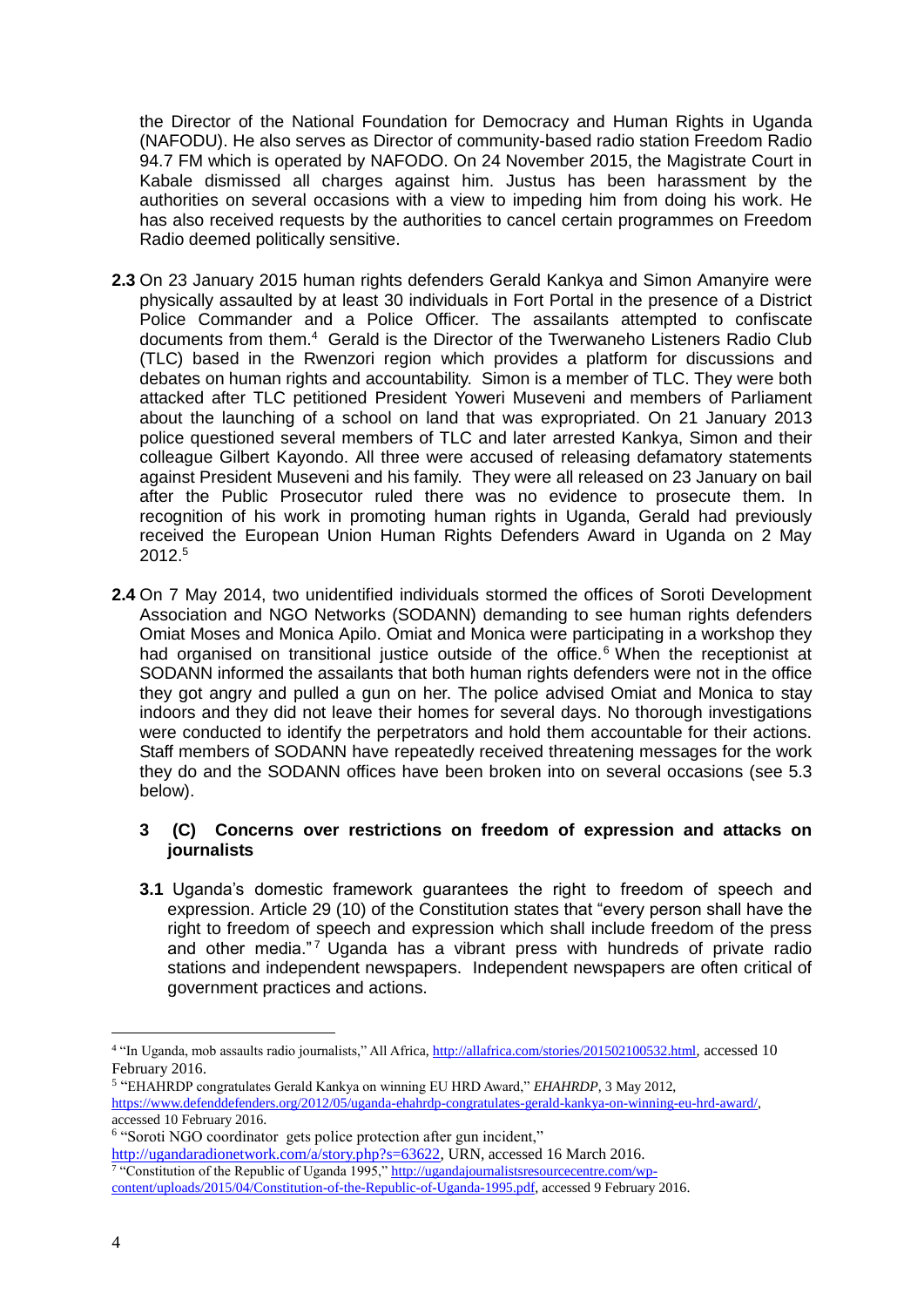the Director of the National Foundation for Democracy and Human Rights in Uganda (NAFODU). He also serves as Director of community-based radio station Freedom Radio 94.7 FM which is operated by NAFODO. On 24 November 2015, the Magistrate Court in Kabale dismissed all charges against him. Justus has been harassment by the authorities on several occasions with a view to impeding him from doing his work. He has also received requests by the authorities to cancel certain programmes on Freedom Radio deemed politically sensitive.

- **2.3** On 23 January 2015 human rights defenders Gerald Kankya and Simon Amanyire were physically assaulted by at least 30 individuals in Fort Portal in the presence of a District Police Commander and a Police Officer. The assailants attempted to confiscate documents from them.<sup>4</sup> Gerald is the Director of the Twerwaneho Listeners Radio Club (TLC) based in the Rwenzori region which provides a platform for discussions and debates on human rights and accountability. Simon is a member of TLC. They were both attacked after TLC petitioned President Yoweri Museveni and members of Parliament about the launching of a school on land that was expropriated. On 21 January 2013 police questioned several members of TLC and later arrested Kankya, Simon and their colleague Gilbert Kayondo. All three were accused of releasing defamatory statements against President Museveni and his family. They were all released on 23 January on bail after the Public Prosecutor ruled there was no evidence to prosecute them. In recognition of his work in promoting human rights in Uganda, Gerald had previously received the European Union Human Rights Defenders Award in Uganda on 2 May  $2012<sup>5</sup>$
- **2.4** On 7 May 2014, two unidentified individuals stormed the offices of Soroti Development Association and NGO Networks (SODANN) demanding to see human rights defenders Omiat Moses and Monica Apilo. Omiat and Monica were participating in a workshop they had organised on transitional justice outside of the office.<sup>6</sup> When the receptionist at SODANN informed the assailants that both human rights defenders were not in the office they got angry and pulled a gun on her. The police advised Omiat and Monica to stay indoors and they did not leave their homes for several days. No thorough investigations were conducted to identify the perpetrators and hold them accountable for their actions. Staff members of SODANN have repeatedly received threatening messages for the work they do and the SODANN offices have been broken into on several occasions (see 5.3 below).

# **3 (C) Concerns over restrictions on freedom of expression and attacks on journalists**

**3.1** Uganda's domestic framework guarantees the right to freedom of speech and expression. Article 29 (10) of the Constitution states that "every person shall have the right to freedom of speech and expression which shall include freedom of the press and other media."<sup>7</sup> Uganda has a vibrant press with hundreds of private radio stations and independent newspapers. Independent newspapers are often critical of government practices and actions.

<sup>6</sup> "Soroti NGO coordinator gets police protection after gun incident," [http://ugandaradionetwork.com/a/story.php?s=63622,](http://ugandaradionetwork.com/a/story.php?s=63622) URN, accessed 16 March 2016. <sup>7</sup> "Constitution of the Republic of Uganda 1995," [http://ugandajournalistsresourcecentre.com/wp-](http://ugandajournalistsresourcecentre.com/wp-content/uploads/2015/04/Constitution-of-the-Republic-of-Uganda-1995.pdf)

1

<sup>&</sup>lt;sup>4</sup> "In Uganda, mob assaults radio journalists," All Africa, [http://allafrica.com/stories/201502100532.html,](http://allafrica.com/stories/201502100532.html) accessed 10 February 2016.

<sup>5</sup> "EHAHRDP congratulates Gerald Kankya on winning EU HRD Award," *EHAHRDP*, 3 May 2012, [https://www.defenddefenders.org/2012/05/uganda-ehahrdp-congratulates-gerald-kankya-on-winning-eu-hrd-award/,](https://www.defenddefenders.org/2012/05/uganda-ehahrdp-congratulates-gerald-kankya-on-winning-eu-hrd-award/) accessed 10 February 2016.

[content/uploads/2015/04/Constitution-of-the-Republic-of-Uganda-1995.pdf,](http://ugandajournalistsresourcecentre.com/wp-content/uploads/2015/04/Constitution-of-the-Republic-of-Uganda-1995.pdf) accessed 9 February 2016.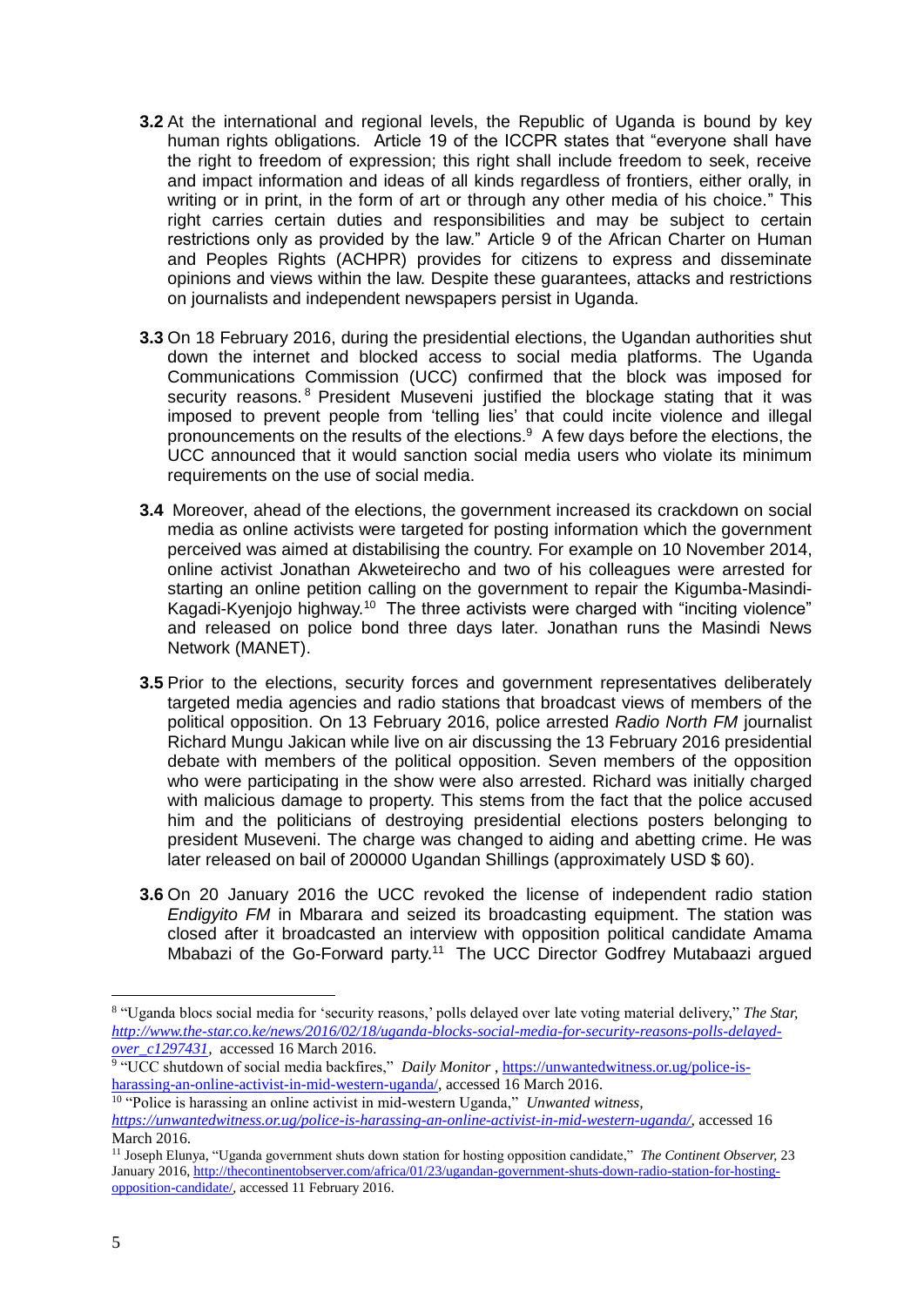- **3.2** At the international and regional levels, the Republic of Uganda is bound by key human rights obligations. Article 19 of the ICCPR states that "everyone shall have the right to freedom of expression; this right shall include freedom to seek, receive and impact information and ideas of all kinds regardless of frontiers, either orally, in writing or in print, in the form of art or through any other media of his choice." This right carries certain duties and responsibilities and may be subject to certain restrictions only as provided by the law." Article 9 of the African Charter on Human and Peoples Rights (ACHPR) provides for citizens to express and disseminate opinions and views within the law. Despite these guarantees, attacks and restrictions on journalists and independent newspapers persist in Uganda.
- **3.3** On 18 February 2016, during the presidential elections, the Ugandan authorities shut down the internet and blocked access to social media platforms. The Uganda Communications Commission (UCC) confirmed that the block was imposed for security reasons. <sup>8</sup> President Museveni justified the blockage stating that it was imposed to prevent people from 'telling lies' that could incite violence and illegal pronouncements on the results of the elections.<sup>9</sup> A few days before the elections, the UCC announced that it would sanction social media users who violate its minimum requirements on the use of social media.
- **3.4** Moreover, ahead of the elections, the government increased its crackdown on social media as online activists were targeted for posting information which the government perceived was aimed at distabilising the country. For example on 10 November 2014, online activist Jonathan Akweteirecho and two of his colleagues were arrested for starting an online petition calling on the government to repair the Kigumba-Masindi-Kagadi-Kyenjojo highway.<sup>10</sup> The three activists were charged with "inciting violence" and released on police bond three days later. Jonathan runs the Masindi News Network (MANET).
- **3.5** Prior to the elections, security forces and government representatives deliberately targeted media agencies and radio stations that broadcast views of members of the political opposition. On 13 February 2016, police arrested *Radio North FM* journalist Richard Mungu Jakican while live on air discussing the 13 February 2016 presidential debate with members of the political opposition. Seven members of the opposition who were participating in the show were also arrested. Richard was initially charged with malicious damage to property. This stems from the fact that the police accused him and the politicians of destroying presidential elections posters belonging to president Museveni. The charge was changed to aiding and abetting crime. He was later released on bail of 200000 Ugandan Shillings (approximately USD \$ 60).
- **3.6** On 20 January 2016 the UCC revoked the license of independent radio station *Endigyito FM* in Mbarara and seized its broadcasting equipment. The station was closed after it broadcasted an interview with opposition political candidate Amama Mbabazi of the Go-Forward party. <sup>11</sup> The UCC Director Godfrey Mutabaazi argued

<sup>8</sup> "Uganda blocs social media for 'security reasons,' polls delayed over late voting material delivery," *The Star, [http://www.the-star.co.ke/news/2016/02/18/uganda-blocks-social-media-for-security-reasons-polls-delayed](http://www.the-star.co.ke/news/2016/02/18/uganda-blocks-social-media-for-security-reasons-polls-delayed-over_c1297431)[over\\_c1297431,](http://www.the-star.co.ke/news/2016/02/18/uganda-blocks-social-media-for-security-reasons-polls-delayed-over_c1297431)* accessed 16 March 2016.

<sup>&</sup>lt;sup>9</sup> "UCC shutdown of social media backfires," *Daily Monitor*, [https://unwantedwitness.or.ug/police-is](https://unwantedwitness.or.ug/police-is-harassing-an-online-activist-in-mid-western-uganda/)[harassing-an-online-activist-in-mid-western-uganda/,](https://unwantedwitness.or.ug/police-is-harassing-an-online-activist-in-mid-western-uganda/) accessed 16 March 2016.

<sup>10</sup> "Police is harassing an online activist in mid-western Uganda," *Unwanted witness, <https://unwantedwitness.or.ug/police-is-harassing-an-online-activist-in-mid-western-uganda/>*, accessed 16 March 2016.

<sup>11</sup> Joseph Elunya, "Uganda government shuts down station for hosting opposition candidate," *The Continent Observer,* 23 January 2016[, http://thecontinentobserver.com/africa/01/23/ugandan-government-shuts-down-radio-station-for-hosting](http://thecontinentobserver.com/africa/01/23/ugandan-government-shuts-down-radio-station-for-hosting-opposition-candidate/)[opposition-candidate/,](http://thecontinentobserver.com/africa/01/23/ugandan-government-shuts-down-radio-station-for-hosting-opposition-candidate/) accessed 11 February 2016.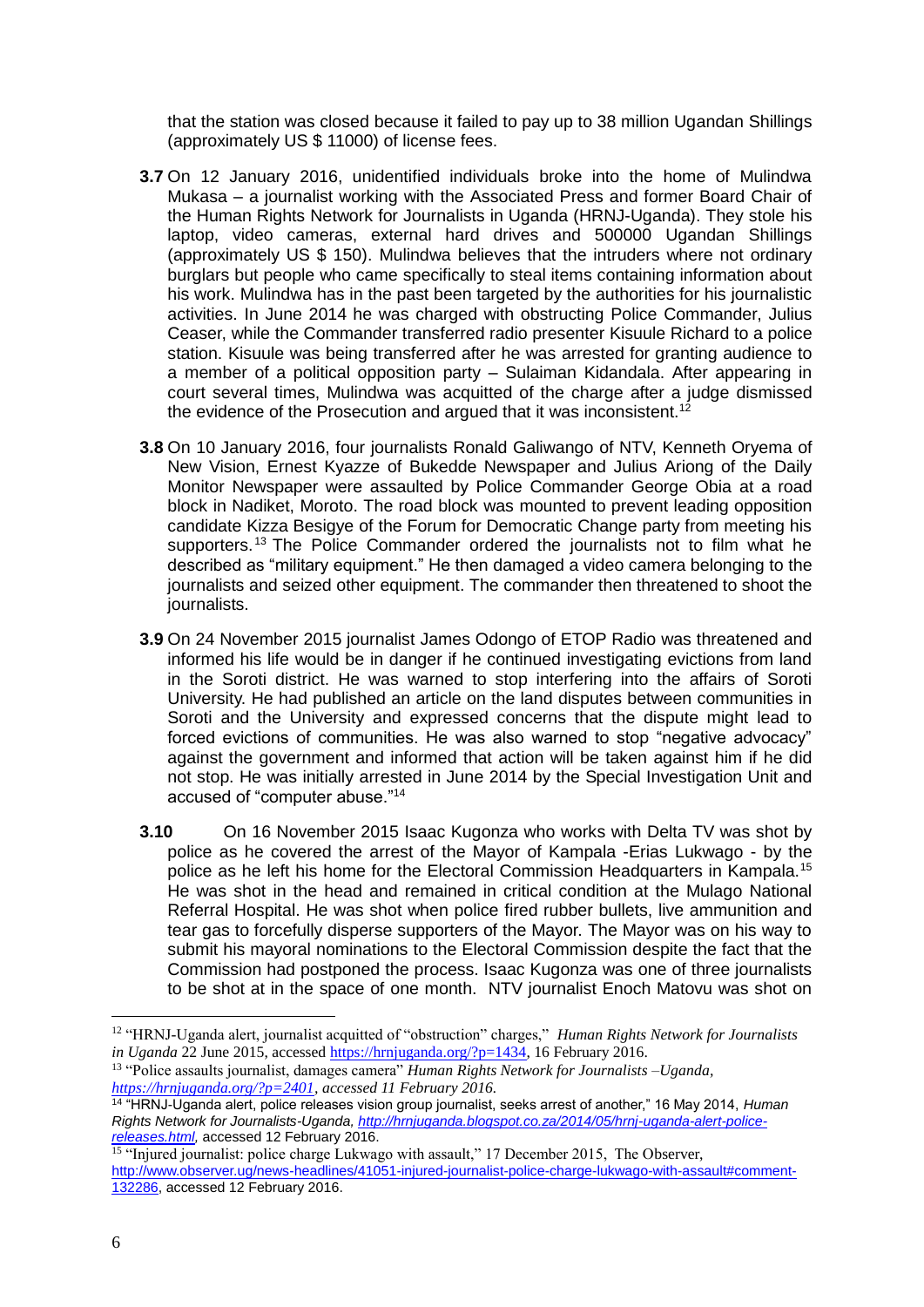that the station was closed because it failed to pay up to 38 million Ugandan Shillings (approximately US \$ 11000) of license fees.

- **3.7** On 12 January 2016, unidentified individuals broke into the home of Mulindwa Mukasa – a journalist working with the Associated Press and former Board Chair of the Human Rights Network for Journalists in Uganda (HRNJ-Uganda). They stole his laptop, video cameras, external hard drives and 500000 Ugandan Shillings (approximately US \$ 150). Mulindwa believes that the intruders where not ordinary burglars but people who came specifically to steal items containing information about his work. Mulindwa has in the past been targeted by the authorities for his journalistic activities. In June 2014 he was charged with obstructing Police Commander, Julius Ceaser, while the Commander transferred radio presenter Kisuule Richard to a police station. Kisuule was being transferred after he was arrested for granting audience to a member of a political opposition party – Sulaiman Kidandala. After appearing in court several times, Mulindwa was acquitted of the charge after a judge dismissed the evidence of the Prosecution and argued that it was inconsistent.<sup>12</sup>
- **3.8** On 10 January 2016, four journalists Ronald Galiwango of NTV, Kenneth Oryema of New Vision, Ernest Kyazze of Bukedde Newspaper and Julius Ariong of the Daily Monitor Newspaper were assaulted by Police Commander George Obia at a road block in Nadiket, Moroto. The road block was mounted to prevent leading opposition candidate Kizza Besigye of the Forum for Democratic Change party from meeting his supporters.<sup>13</sup> The Police Commander ordered the journalists not to film what he described as "military equipment." He then damaged a video camera belonging to the journalists and seized other equipment. The commander then threatened to shoot the journalists.
- **3.9** On 24 November 2015 journalist James Odongo of ETOP Radio was threatened and informed his life would be in danger if he continued investigating evictions from land in the Soroti district. He was warned to stop interfering into the affairs of Soroti University. He had published an article on the land disputes between communities in Soroti and the University and expressed concerns that the dispute might lead to forced evictions of communities. He was also warned to stop "negative advocacy" against the government and informed that action will be taken against him if he did not stop. He was initially arrested in June 2014 by the Special Investigation Unit and accused of "computer abuse."<sup>14</sup>
- **3.10** On 16 November 2015 Isaac Kugonza who works with Delta TV was shot by police as he covered the arrest of the Mayor of Kampala -Erias Lukwago - by the police as he left his home for the Electoral Commission Headquarters in Kampala.<sup>15</sup> He was shot in the head and remained in critical condition at the Mulago National Referral Hospital. He was shot when police fired rubber bullets, live ammunition and tear gas to forcefully disperse supporters of the Mayor. The Mayor was on his way to submit his mayoral nominations to the Electoral Commission despite the fact that the Commission had postponed the process. Isaac Kugonza was one of three journalists to be shot at in the space of one month. NTV journalist Enoch Matovu was shot on

<sup>12</sup> "HRNJ-Uganda alert, journalist acquitted of "obstruction" charges," *Human Rights Network for Journalists in Uganda* 22 June 2015, accessed [https://hrnjuganda.org/?p=1434,](https://hrnjuganda.org/?p=1434) 16 February 2016.

<sup>13</sup> "Police assaults journalist, damages camera" *Human Rights Network for Journalists –Uganda, [https://hrnjuganda.org/?p=2401,](https://hrnjuganda.org/?p=2401) accessed 11 February 2016.* 

<sup>14</sup> "HRNJ-Uganda alert, police releases vision group journalist, seeks arrest of another," 16 May 2014, *Human Rights Network for Journalists-Uganda, [http://hrnjuganda.blogspot.co.za/2014/05/hrnj-uganda-alert-police](http://hrnjuganda.blogspot.co.za/2014/05/hrnj-uganda-alert-police-releases.html)[releases.html,](http://hrnjuganda.blogspot.co.za/2014/05/hrnj-uganda-alert-police-releases.html)* accessed 12 February 2016.

<sup>&</sup>lt;sup>15</sup> "Injured journalist: police charge Lukwago with assault," 17 December 2015, The Observer, [http://www.observer.ug/news-headlines/41051-injured-journalist-police-charge-lukwago-with-assault#comment-](http://www.observer.ug/news-headlines/41051-injured-journalist-police-charge-lukwago-with-assault#comment-132286)[132286,](http://www.observer.ug/news-headlines/41051-injured-journalist-police-charge-lukwago-with-assault#comment-132286) accessed 12 February 2016.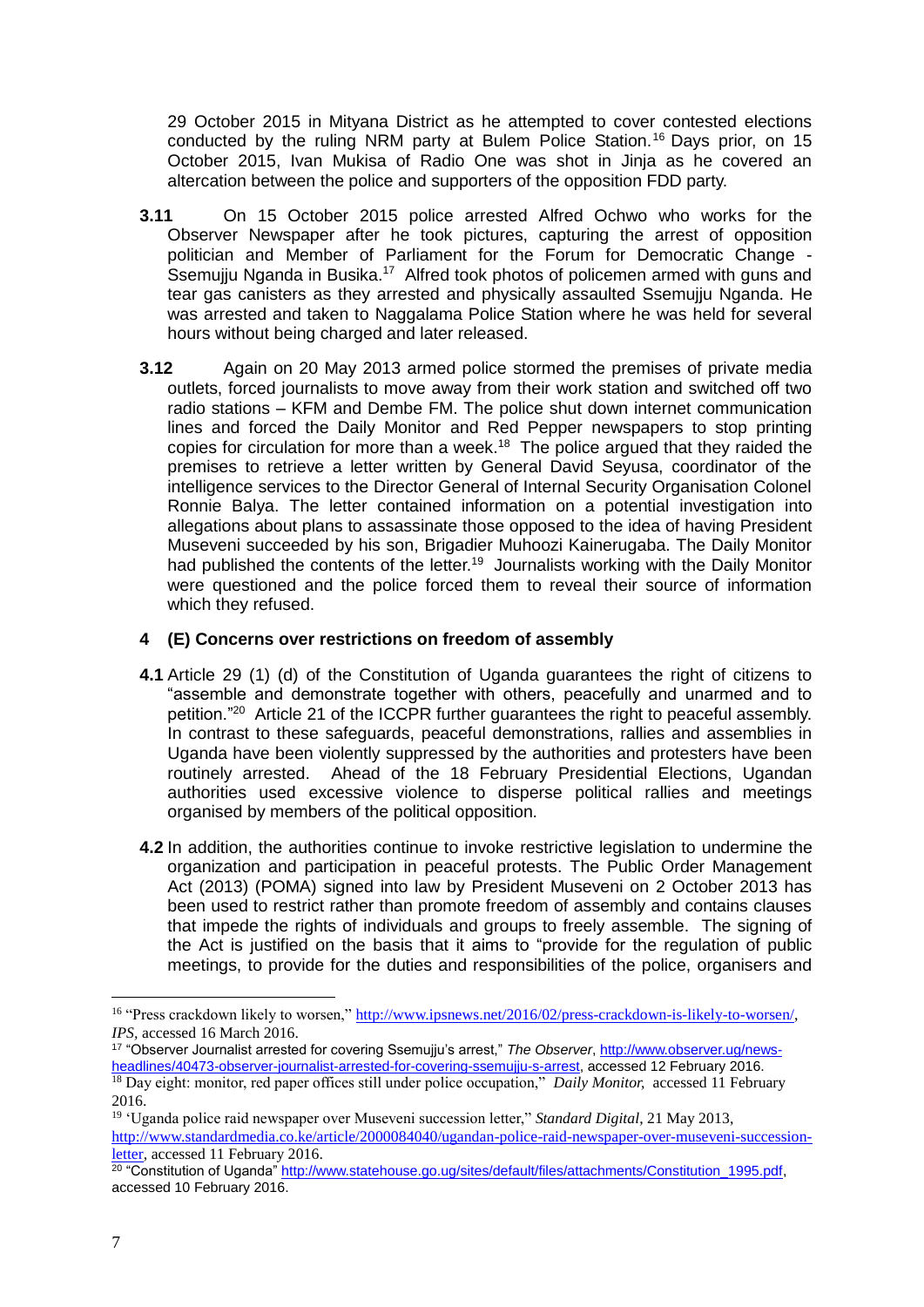29 October 2015 in Mityana District as he attempted to cover contested elections conducted by the ruling NRM party at Bulem Police Station.<sup>16</sup> Days prior, on 15 October 2015, Ivan Mukisa of Radio One was shot in Jinja as he covered an altercation between the police and supporters of the opposition FDD party.

- **3.11** On 15 October 2015 police arrested Alfred Ochwo who works for the Observer Newspaper after he took pictures, capturing the arrest of opposition politician and Member of Parliament for the Forum for Democratic Change - Ssemujju Nganda in Busika.<sup>17</sup> Alfred took photos of policemen armed with guns and tear gas canisters as they arrested and physically assaulted Ssemujju Nganda. He was arrested and taken to Naggalama Police Station where he was held for several hours without being charged and later released.
- **3.12** Again on 20 May 2013 armed police stormed the premises of private media outlets, forced journalists to move away from their work station and switched off two radio stations – KFM and Dembe FM. The police shut down internet communication lines and forced the Daily Monitor and Red Pepper newspapers to stop printing copies for circulation for more than a week.<sup>18</sup> The police argued that they raided the premises to retrieve a letter written by General David Seyusa, coordinator of the intelligence services to the Director General of Internal Security Organisation Colonel Ronnie Balya. The letter contained information on a potential investigation into allegations about plans to assassinate those opposed to the idea of having President Museveni succeeded by his son, Brigadier Muhoozi Kainerugaba. The Daily Monitor had published the contents of the letter.<sup>19</sup> Journalists working with the Daily Monitor were questioned and the police forced them to reveal their source of information which they refused.

# **4 (E) Concerns over restrictions on freedom of assembly**

- **4.1** Article 29 (1) (d) of the Constitution of Uganda guarantees the right of citizens to "assemble and demonstrate together with others, peacefully and unarmed and to petition."<sup>20</sup> Article 21 of the ICCPR further guarantees the right to peaceful assembly. In contrast to these safeguards, peaceful demonstrations, rallies and assemblies in Uganda have been violently suppressed by the authorities and protesters have been routinely arrested. Ahead of the 18 February Presidential Elections, Ugandan authorities used excessive violence to disperse political rallies and meetings organised by members of the political opposition.
- **4.2** In addition, the authorities continue to invoke restrictive legislation to undermine the organization and participation in peaceful protests. The Public Order Management Act (2013) (POMA) signed into law by President Museveni on 2 October 2013 has been used to restrict rather than promote freedom of assembly and contains clauses that impede the rights of individuals and groups to freely assemble. The signing of the Act is justified on the basis that it aims to "provide for the regulation of public meetings, to provide for the duties and responsibilities of the police, organisers and

<sup>16</sup> "Press crackdown likely to worsen," [http://www.ipsnews.net/2016/02/press-crackdown-is-likely-to-worsen/,](http://www.ipsnews.net/2016/02/press-crackdown-is-likely-to-worsen/) *IPS,* accessed 16 March 2016.

<sup>17</sup> "Observer Journalist arrested for covering Ssemujju's arrest," *The Observer*[, http://www.observer.ug/news](http://www.observer.ug/news-headlines/40473-observer-journalist-arrested-for-covering-ssemujju-s-arrest)[headlines/40473-observer-journalist-arrested-for-covering-ssemujju-s-arrest,](http://www.observer.ug/news-headlines/40473-observer-journalist-arrested-for-covering-ssemujju-s-arrest) accessed 12 February 2016. <sup>18</sup> Day eight: monitor, red paper offices still under police occupation," *Daily Monitor*, accessed 11 February 2016.

<sup>19</sup> 'Uganda police raid newspaper over Museveni succession letter," *Standard Digital*, 21 May 2013, [http://www.standardmedia.co.ke/article/2000084040/ugandan-police-raid-newspaper-over-museveni-succession](http://www.standardmedia.co.ke/article/2000084040/ugandan-police-raid-newspaper-over-museveni-succession-letter)[letter,](http://www.standardmedia.co.ke/article/2000084040/ugandan-police-raid-newspaper-over-museveni-succession-letter) accessed 11 February 2016.

<sup>&</sup>lt;sup>20</sup> "Constitution of Uganda" [http://www.statehouse.go.ug/sites/default/files/attachments/Constitution\\_1995.pdf,](http://www.statehouse.go.ug/sites/default/files/attachments/Constitution_1995.pdf) accessed 10 February 2016.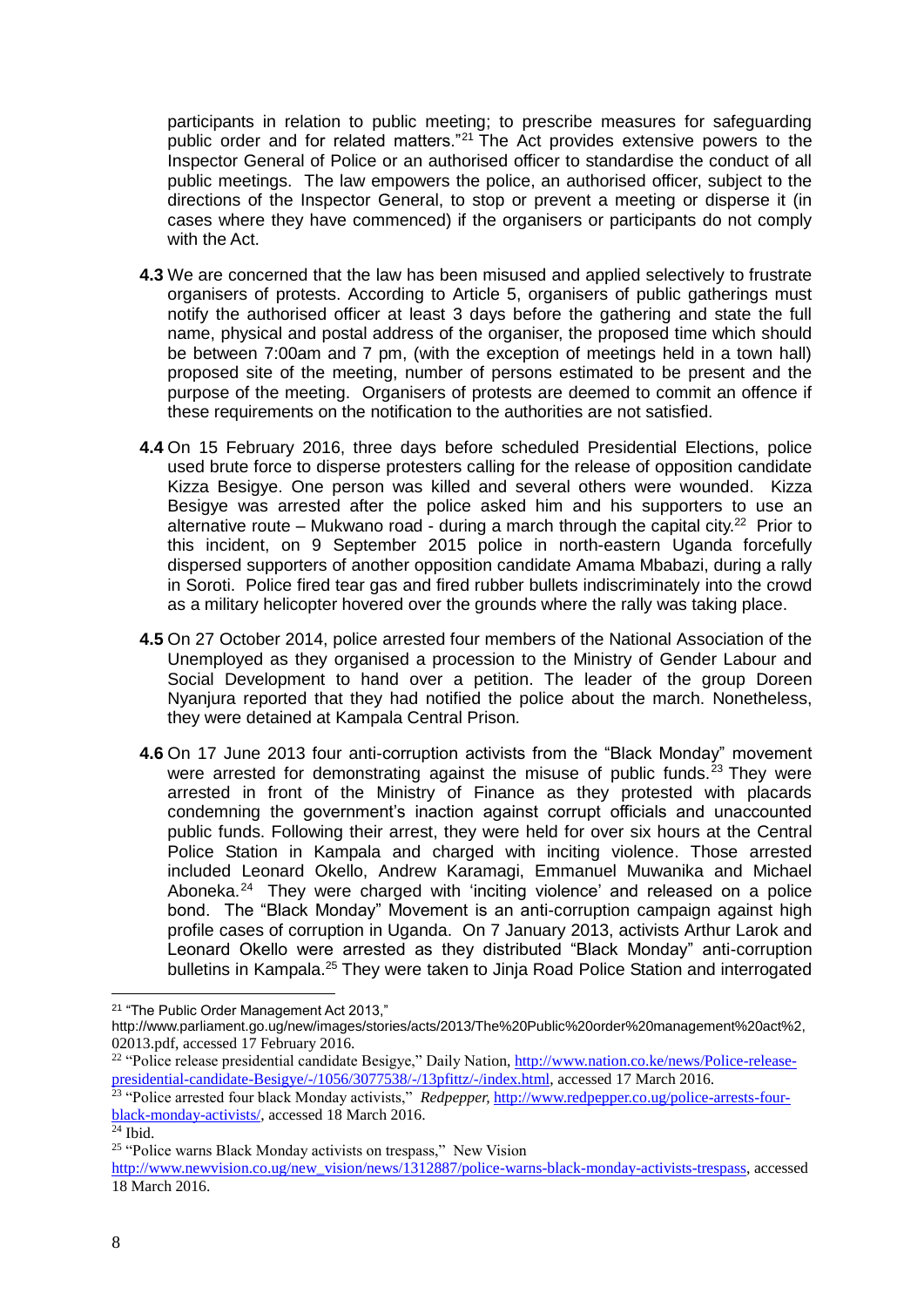participants in relation to public meeting; to prescribe measures for safeguarding public order and for related matters."<sup>21</sup> The Act provides extensive powers to the Inspector General of Police or an authorised officer to standardise the conduct of all public meetings. The law empowers the police, an authorised officer, subject to the directions of the Inspector General, to stop or prevent a meeting or disperse it (in cases where they have commenced) if the organisers or participants do not comply with the Act.

- **4.3** We are concerned that the law has been misused and applied selectively to frustrate organisers of protests. According to Article 5, organisers of public gatherings must notify the authorised officer at least 3 days before the gathering and state the full name, physical and postal address of the organiser, the proposed time which should be between 7:00am and 7 pm, (with the exception of meetings held in a town hall) proposed site of the meeting, number of persons estimated to be present and the purpose of the meeting. Organisers of protests are deemed to commit an offence if these requirements on the notification to the authorities are not satisfied.
- **4.4** On 15 February 2016, three days before scheduled Presidential Elections, police used brute force to disperse protesters calling for the release of opposition candidate Kizza Besigye. One person was killed and several others were wounded. Kizza Besigye was arrested after the police asked him and his supporters to use an alternative route – Mukwano road - during a march through the capital city.<sup>22</sup> Prior to this incident, on 9 September 2015 police in north-eastern Uganda forcefully dispersed supporters of another opposition candidate Amama Mbabazi, during a rally in Soroti. Police fired tear gas and fired rubber bullets indiscriminately into the crowd as a military helicopter hovered over the grounds where the rally was taking place.
- **4.5** On 27 October 2014, police arrested four members of the National Association of the Unemployed as they organised a procession to the Ministry of Gender Labour and Social Development to hand over a petition. The leader of the group Doreen Nyanjura reported that they had notified the police about the march. Nonetheless, they were detained at Kampala Central Prison.
- **4.6** On 17 June 2013 four anti-corruption activists from the "Black Monday" movement were arrested for demonstrating against the misuse of public funds.<sup>23</sup> They were arrested in front of the Ministry of Finance as they protested with placards condemning the government's inaction against corrupt officials and unaccounted public funds. Following their arrest, they were held for over six hours at the Central Police Station in Kampala and charged with inciting violence. Those arrested included Leonard Okello, Andrew Karamagi, Emmanuel Muwanika and Michael Aboneka.<sup>24</sup> They were charged with 'inciting violence' and released on a police bond. The "Black Monday" Movement is an anti-corruption campaign against high profile cases of corruption in Uganda. On 7 January 2013, activists Arthur Larok and Leonard Okello were arrested as they distributed "Black Monday" anti-corruption bulletins in Kampala.<sup>25</sup> They were taken to Jinja Road Police Station and interrogated

<sup>&</sup>lt;sup>21</sup> "The Public Order Management Act 2013,"

http://www.parliament.go.ug/new/images/stories/acts/2013/The%20Public%20order%20management%20act%2, 02013.pdf, accessed 17 February 2016.

<sup>&</sup>lt;sup>22</sup> "Police release presidential candidate Besigye," Daily Nation[, http://www.nation.co.ke/news/Police-release](http://www.nation.co.ke/news/Police-release-presidential-candidate-Besigye/-/1056/3077538/-/13pfittz/-/index.html)[presidential-candidate-Besigye/-/1056/3077538/-/13pfittz/-/index.html,](http://www.nation.co.ke/news/Police-release-presidential-candidate-Besigye/-/1056/3077538/-/13pfittz/-/index.html) accessed 17 March 2016.

<sup>23</sup> "Police arrested four black Monday activists," *Redpepper,* [http://www.redpepper.co.ug/police-arrests-four](http://www.redpepper.co.ug/police-arrests-four-black-monday-activists/)[black-monday-activists/,](http://www.redpepper.co.ug/police-arrests-four-black-monday-activists/) accessed 18 March 2016.

 $\overline{\overline{24} \text{ Ibid.}}$ 

<sup>&</sup>lt;sup>25</sup> "Police warns Black Monday activists on trespass," New Vision

[http://www.newvision.co.ug/new\\_vision/news/1312887/police-warns-black-monday-activists-trespass,](http://www.newvision.co.ug/new_vision/news/1312887/police-warns-black-monday-activists-trespass) accessed 18 March 2016.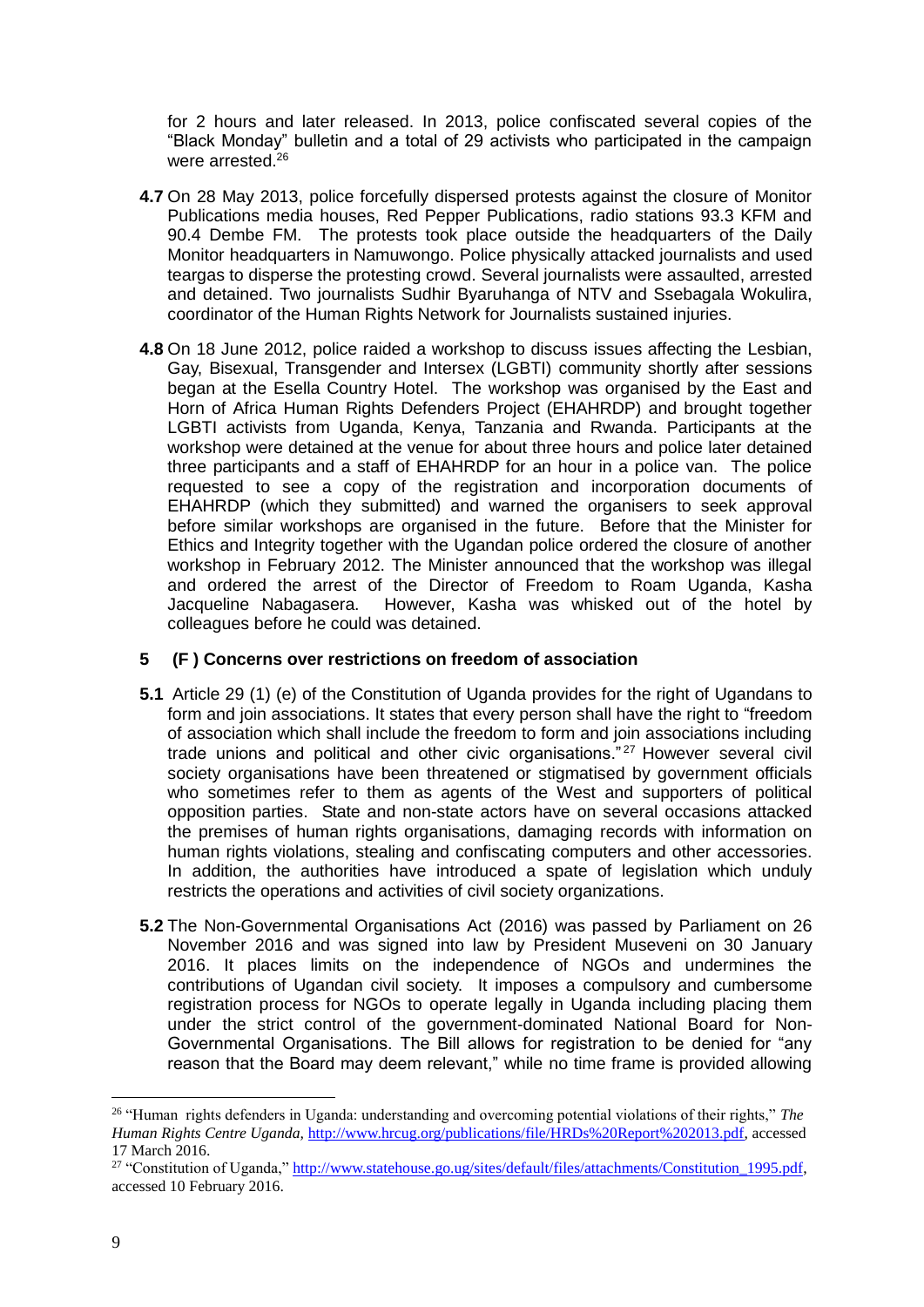for 2 hours and later released. In 2013, police confiscated several copies of the "Black Monday" bulletin and a total of 29 activists who participated in the campaign were arrested.<sup>26</sup>

- **4.7** On 28 May 2013, police forcefully dispersed protests against the closure of Monitor Publications media houses, Red Pepper Publications, radio stations 93.3 KFM and 90.4 Dembe FM. The protests took place outside the headquarters of the Daily Monitor headquarters in Namuwongo. Police physically attacked journalists and used teargas to disperse the protesting crowd. Several journalists were assaulted, arrested and detained. Two journalists Sudhir Byaruhanga of NTV and Ssebagala Wokulira, coordinator of the Human Rights Network for Journalists sustained injuries.
- **4.8** On 18 June 2012, police raided a workshop to discuss issues affecting the Lesbian, Gay, Bisexual, Transgender and Intersex (LGBTI) community shortly after sessions began at the Esella Country Hotel. The workshop was organised by the East and Horn of Africa Human Rights Defenders Project (EHAHRDP) and brought together LGBTI activists from Uganda, Kenya, Tanzania and Rwanda. Participants at the workshop were detained at the venue for about three hours and police later detained three participants and a staff of EHAHRDP for an hour in a police van. The police requested to see a copy of the registration and incorporation documents of EHAHRDP (which they submitted) and warned the organisers to seek approval before similar workshops are organised in the future. Before that the Minister for Ethics and Integrity together with the Ugandan police ordered the closure of another workshop in February 2012. The Minister announced that the workshop was illegal and ordered the arrest of the Director of Freedom to Roam Uganda, Kasha Jacqueline Nabagasera. However, Kasha was whisked out of the hotel by colleagues before he could was detained.

# **5 (F ) Concerns over restrictions on freedom of association**

- **5.1** Article 29 (1) (e) of the Constitution of Uganda provides for the right of Ugandans to form and join associations. It states that every person shall have the right to "freedom of association which shall include the freedom to form and join associations including trade unions and political and other civic organisations." <sup>27</sup> However several civil society organisations have been threatened or stigmatised by government officials who sometimes refer to them as agents of the West and supporters of political opposition parties. State and non-state actors have on several occasions attacked the premises of human rights organisations, damaging records with information on human rights violations, stealing and confiscating computers and other accessories. In addition, the authorities have introduced a spate of legislation which unduly restricts the operations and activities of civil society organizations.
- **5.2** The Non-Governmental Organisations Act (2016) was passed by Parliament on 26 November 2016 and was signed into law by President Museveni on 30 January 2016. It places limits on the independence of NGOs and undermines the contributions of Ugandan civil society. It imposes a compulsory and cumbersome registration process for NGOs to operate legally in Uganda including placing them under the strict control of the government-dominated National Board for Non-Governmental Organisations. The Bill allows for registration to be denied for "any reason that the Board may deem relevant," while no time frame is provided allowing

<sup>26</sup> "Human rights defenders in Uganda: understanding and overcoming potential violations of their rights," *The Human Rights Centre Uganda,* [http://www.hrcug.org/publications/file/HRDs%20Report%202013.pdf,](http://www.hrcug.org/publications/file/HRDs%20Report%202013.pdf) accessed 17 March 2016.

<sup>&</sup>lt;sup>27</sup> "Constitution of Uganda," http://www.statehouse.go.ug/sites/default/files/attachments/Constitution 1995.pdf, accessed 10 February 2016.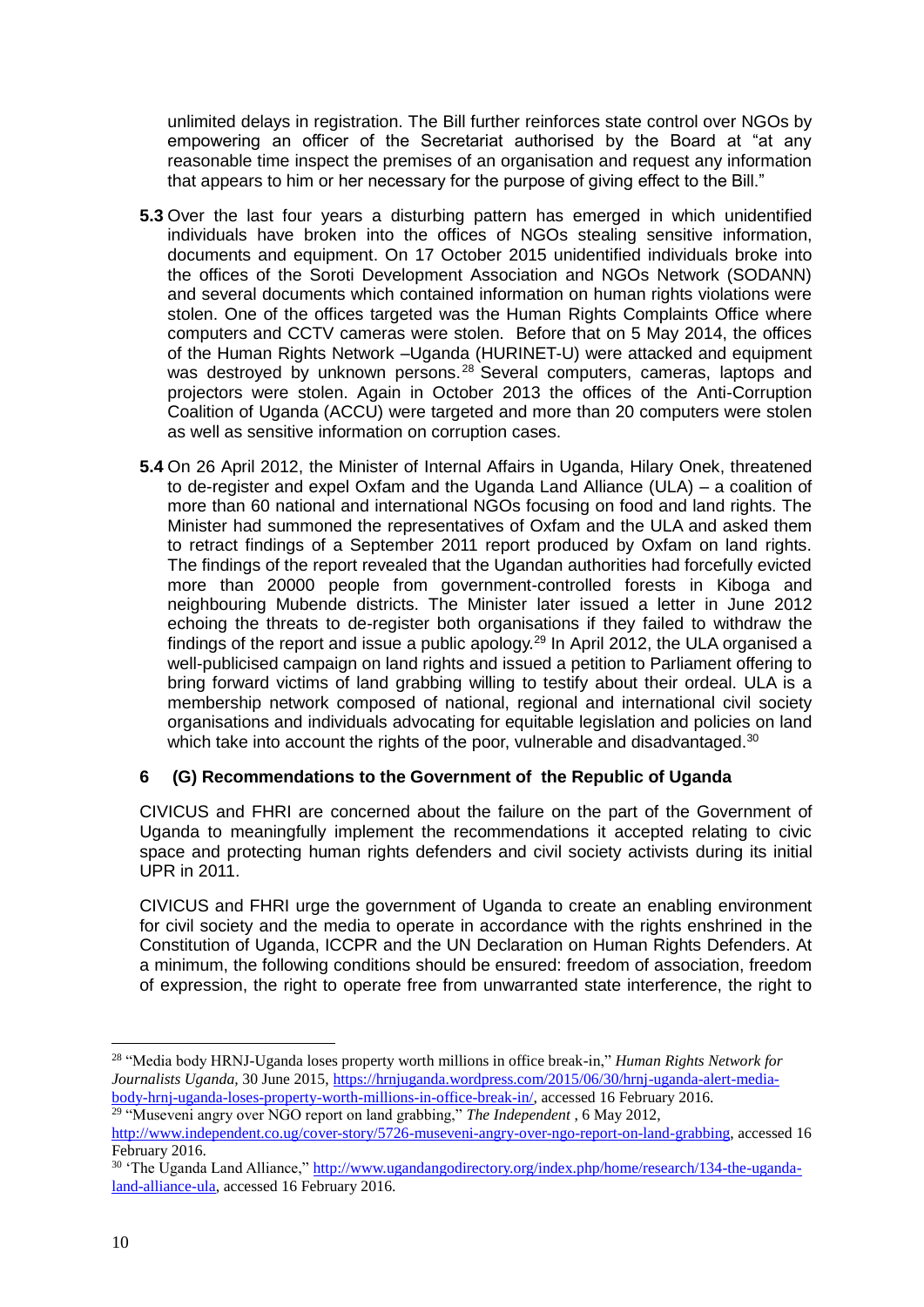unlimited delays in registration. The Bill further reinforces state control over NGOs by empowering an officer of the Secretariat authorised by the Board at "at any reasonable time inspect the premises of an organisation and request any information that appears to him or her necessary for the purpose of giving effect to the Bill."

- **5.3** Over the last four years a disturbing pattern has emerged in which unidentified individuals have broken into the offices of NGOs stealing sensitive information, documents and equipment. On 17 October 2015 unidentified individuals broke into the offices of the Soroti Development Association and NGOs Network (SODANN) and several documents which contained information on human rights violations were stolen. One of the offices targeted was the Human Rights Complaints Office where computers and CCTV cameras were stolen. Before that on 5 May 2014, the offices of the Human Rights Network –Uganda (HURINET-U) were attacked and equipment was destroyed by unknown persons.<sup>28</sup> Several computers, cameras, laptops and projectors were stolen. Again in October 2013 the offices of the Anti-Corruption Coalition of Uganda (ACCU) were targeted and more than 20 computers were stolen as well as sensitive information on corruption cases.
- **5.4** On 26 April 2012, the Minister of Internal Affairs in Uganda, Hilary Onek, threatened to de-register and expel Oxfam and the Uganda Land Alliance (ULA) – a coalition of more than 60 national and international NGOs focusing on food and land rights. The Minister had summoned the representatives of Oxfam and the ULA and asked them to retract findings of a September 2011 report produced by Oxfam on land rights. The findings of the report revealed that the Ugandan authorities had forcefully evicted more than 20000 people from government-controlled forests in Kiboga and neighbouring Mubende districts. The Minister later issued a letter in June 2012 echoing the threats to de-register both organisations if they failed to withdraw the findings of the report and issue a public apology.<sup>29</sup> In April 2012, the ULA organised a well-publicised campaign on land rights and issued a petition to Parliament offering to bring forward victims of land grabbing willing to testify about their ordeal. ULA is a membership network composed of national, regional and international civil society organisations and individuals advocating for equitable legislation and policies on land which take into account the rights of the poor, vulnerable and disadvantaged.<sup>30</sup>

# **6 (G) Recommendations to the Government of the Republic of Uganda**

CIVICUS and FHRI are concerned about the failure on the part of the Government of Uganda to meaningfully implement the recommendations it accepted relating to civic space and protecting human rights defenders and civil society activists during its initial UPR in 2011.

CIVICUS and FHRI urge the government of Uganda to create an enabling environment for civil society and the media to operate in accordance with the rights enshrined in the Constitution of Uganda, ICCPR and the UN Declaration on Human Rights Defenders. At a minimum, the following conditions should be ensured: freedom of association, freedom of expression, the right to operate free from unwarranted state interference, the right to

<sup>29</sup> "Museveni angry over NGO report on land grabbing," *The Independent* , 6 May 2012,

<sup>1</sup> <sup>28</sup> "Media body HRNJ-Uganda loses property worth millions in office break-in," *Human Rights Network for Journalists Uganda,* 30 June 2015[, https://hrnjuganda.wordpress.com/2015/06/30/hrnj-uganda-alert-media](https://hrnjuganda.wordpress.com/2015/06/30/hrnj-uganda-alert-media-body-hrnj-uganda-loses-property-worth-millions-in-office-break-in/)[body-hrnj-uganda-loses-property-worth-millions-in-office-break-in/,](https://hrnjuganda.wordpress.com/2015/06/30/hrnj-uganda-alert-media-body-hrnj-uganda-loses-property-worth-millions-in-office-break-in/) accessed 16 February 2016.

[http://www.independent.co.ug/cover-story/5726-museveni-angry-over-ngo-report-on-land-grabbing,](http://www.independent.co.ug/cover-story/5726-museveni-angry-over-ngo-report-on-land-grabbing) accessed 16 February 2016.

<sup>30</sup> 'The Uganda Land Alliance," [http://www.ugandangodirectory.org/index.php/home/research/134-the-uganda](http://www.ugandangodirectory.org/index.php/home/research/134-the-uganda-land-alliance-ula)[land-alliance-ula,](http://www.ugandangodirectory.org/index.php/home/research/134-the-uganda-land-alliance-ula) accessed 16 February 2016.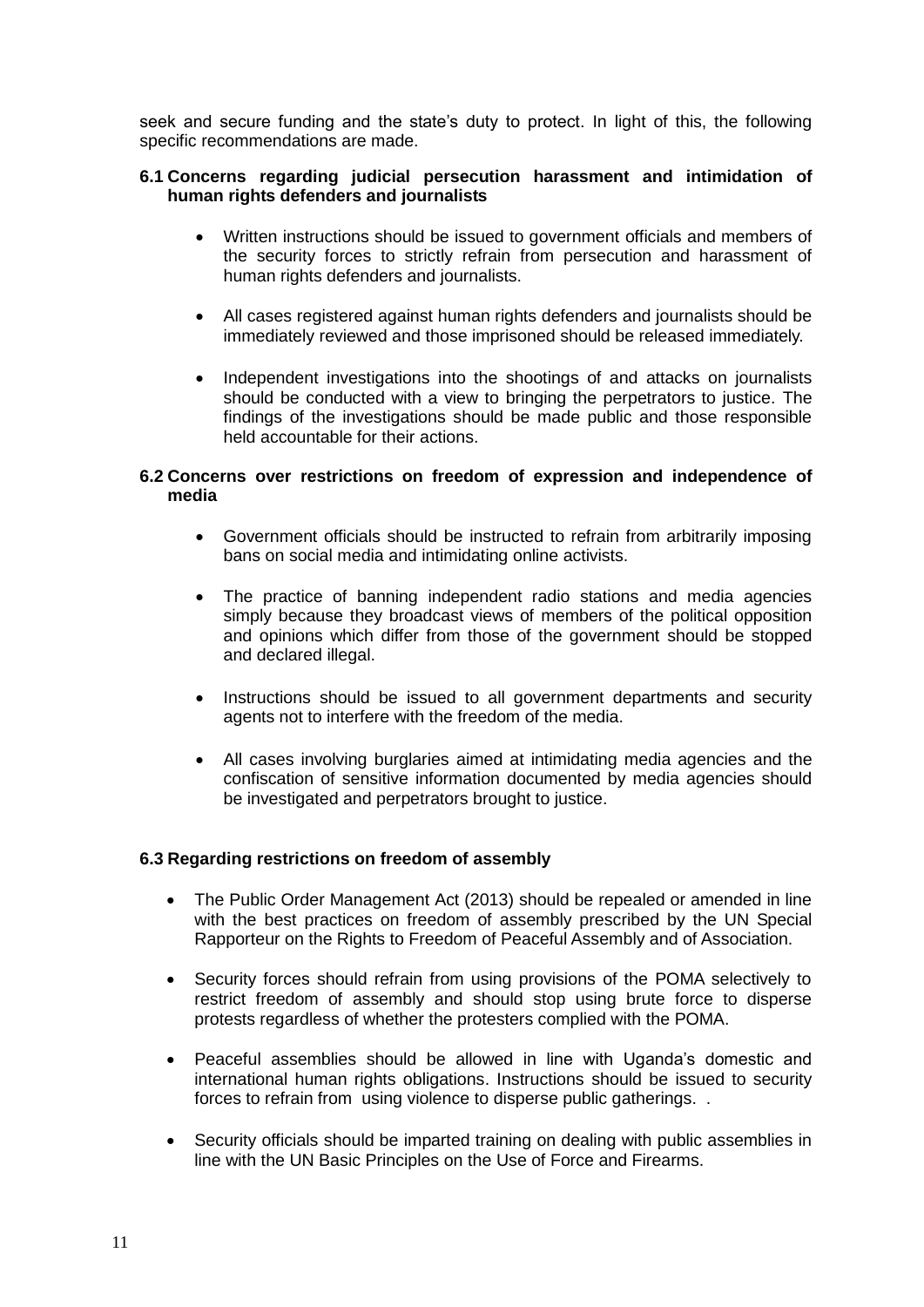seek and secure funding and the state's duty to protect. In light of this, the following specific recommendations are made.

#### **6.1 Concerns regarding judicial persecution harassment and intimidation of human rights defenders and journalists**

- Written instructions should be issued to government officials and members of the security forces to strictly refrain from persecution and harassment of human rights defenders and journalists.
- All cases registered against human rights defenders and journalists should be immediately reviewed and those imprisoned should be released immediately.
- Independent investigations into the shootings of and attacks on journalists should be conducted with a view to bringing the perpetrators to justice. The findings of the investigations should be made public and those responsible held accountable for their actions.

### **6.2 Concerns over restrictions on freedom of expression and independence of media**

- Government officials should be instructed to refrain from arbitrarily imposing bans on social media and intimidating online activists.
- The practice of banning independent radio stations and media agencies simply because they broadcast views of members of the political opposition and opinions which differ from those of the government should be stopped and declared illegal.
- Instructions should be issued to all government departments and security agents not to interfere with the freedom of the media.
- All cases involving burglaries aimed at intimidating media agencies and the confiscation of sensitive information documented by media agencies should be investigated and perpetrators brought to justice.

# **6.3 Regarding restrictions on freedom of assembly**

- The Public Order Management Act (2013) should be repealed or amended in line with the best practices on freedom of assembly prescribed by the UN Special Rapporteur on the Rights to Freedom of Peaceful Assembly and of Association.
- Security forces should refrain from using provisions of the POMA selectively to restrict freedom of assembly and should stop using brute force to disperse protests regardless of whether the protesters complied with the POMA.
- Peaceful assemblies should be allowed in line with Uganda's domestic and international human rights obligations. Instructions should be issued to security forces to refrain from using violence to disperse public gatherings. .
- Security officials should be imparted training on dealing with public assemblies in line with the UN Basic Principles on the Use of Force and Firearms.